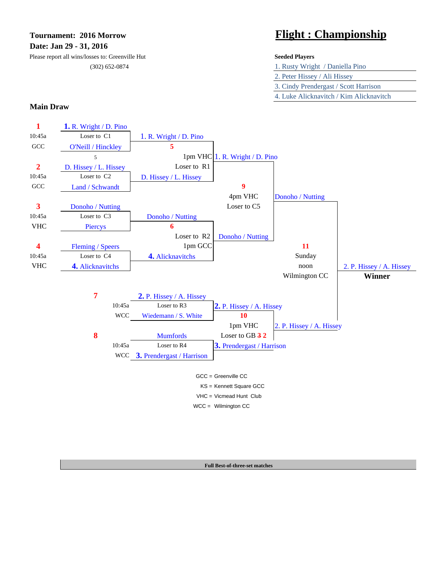**Date: Jan 29 - 31, 2016**

Please report all wins/losses to: Greenville Hut **Seeded Players** (302) 652-0874

# **Tournament: 2016 Morrow Flight : Championship**

| 1. Rusty Wright / Daniella Pino         |
|-----------------------------------------|
| 2. Peter Hissey / Ali Hissey            |
| 3. Cindy Prendergast / Scott Harrison   |
| 4. Luke Alicknavitch / Kim Alicknavitch |

### **Main Draw**



**Full Best-of-three-set matches**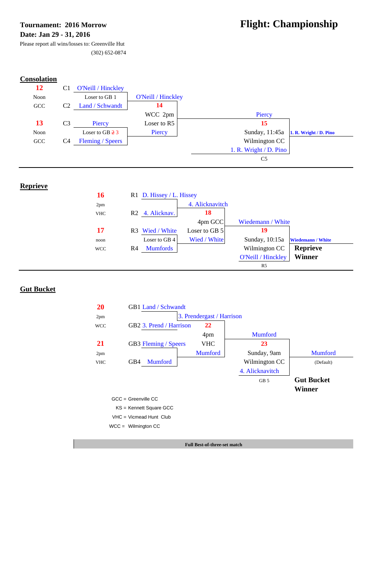# **Date: Jan 29 - 31, 2016**

# Tournament: 2016 Morrow **Flight: Championship**

Please report all wins/losses to: Greenville Hut

(302) 652-0874

# **Consolation**



# **Reprieve**

| 16         | R1 D. Hissey / L. Hissey          |                 |                    |                          |
|------------|-----------------------------------|-----------------|--------------------|--------------------------|
| 2pm        |                                   | 4. Alicknavitch |                    |                          |
| <b>VHC</b> | R <sub>2</sub> 4. Alicknav.       | <b>18</b>       |                    |                          |
|            |                                   | 4pm GCC         | Wiedemann / White  |                          |
| 17         | R3 Wied / White                   | Loser to GB 5   | 19                 |                          |
| noon       | Loser to GB 4                     | Wied / White    | Sunday, 10:15a     | <b>Wiedemann / White</b> |
| <b>WCC</b> | <b>Mumfords</b><br>R <sub>4</sub> |                 | Wilmington CC      | <b>Reprieve</b>          |
|            |                                   |                 | O'Neill / Hinckley | <b>Winner</b>            |
|            |                                   |                 | R <sub>5</sub>     |                          |

# **Gut Bucket**



VHC = Vicmead Hunt Club

WCC = Wilmington CC

**Full Best-of-three-set match**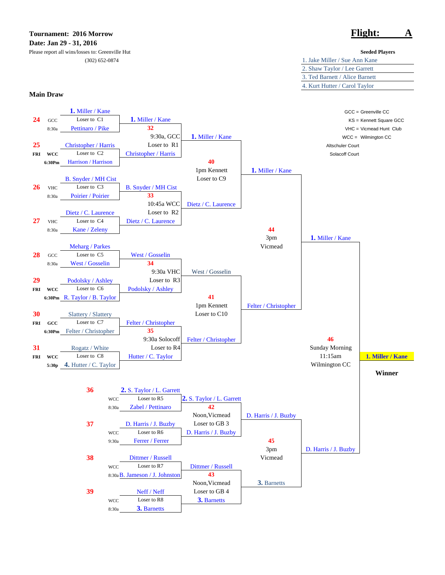### **Tournament: 2016 Morrow Flight: A Date: Jan 29 - 31, 2016**

Please report all wins/losses to: Greenville Hut **Seeded Players**

### **Main Draw**



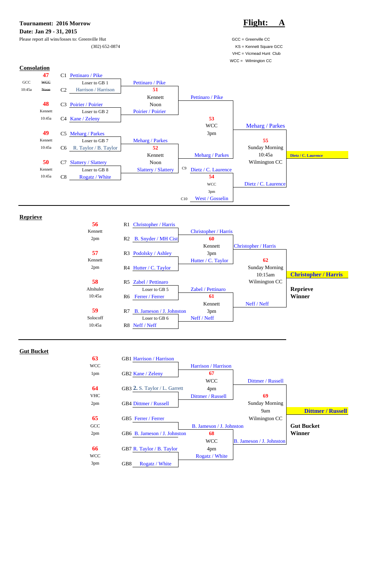



## **Reprieve**

| 56        | <b>Christopher / Harris</b><br>R1  |                             |                             |                             |
|-----------|------------------------------------|-----------------------------|-----------------------------|-----------------------------|
| Kennett   |                                    | <b>Christopher / Harris</b> |                             |                             |
| 2pm       | R <sub>2</sub> B. Snyder / MH Cist | 60                          |                             |                             |
|           |                                    | Kennett                     | <b>Christopher / Harris</b> |                             |
| 57        | R3 Podolsky / Ashley               | 3pm                         |                             |                             |
| Kennett   |                                    | Hutter / C. Taylor          | 62                          |                             |
| 2pm       | $R4$ Hutter / C. Taylor            |                             | <b>Sunday Morning</b>       |                             |
|           |                                    |                             | 10:15am                     | <b>Christopher / Harris</b> |
| 58        | Zabel / Pettinaro<br>R5            |                             | Wilmington CC               |                             |
| Altshuler | Loser to GB 5                      | Zabel / Pettinaro           |                             | <b>Reprieve</b>             |
| 10:45a    | R6 Ferrer / Ferrer                 | 61                          |                             | <b>Winner</b>               |
|           |                                    | Kennett                     | Neff / Neff                 |                             |
| 59        | B. Jameson / J. Johnston<br>R7     | 3pm                         |                             |                             |
| Solocoff  | Loser to GB 6                      | Neff / Neff                 |                             |                             |
| 10:45a    | R8 Neff / Neff                     |                             |                             |                             |



| <b>GCC</b>      |                              | B. Jameson / J. Johnston |                                 | <b>Gut Bucket</b> |
|-----------------|------------------------------|--------------------------|---------------------------------|-------------------|
| 2pm             | GB6 B. Jameson / J. Johnston | 68                       |                                 | Winner            |
|                 |                              | <b>WCC</b>               | <b>B.</b> Jameson / J. Johnston |                   |
| 66              | GB7 R. Taylor / B. Taylor    | 4pm                      |                                 |                   |
| <b>WCC</b>      |                              | Rogatz / White           |                                 |                   |
| 3 <sub>pm</sub> | GB8<br>Rogatz / White        |                          |                                 |                   |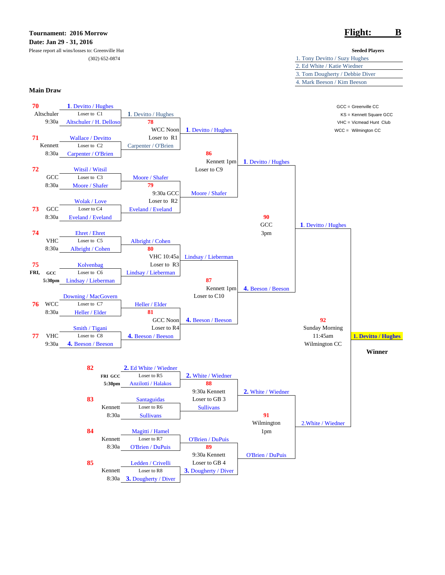# **Tournament: 2016 Morrow Flight: B Date: Jan 29 - 31, 2016**